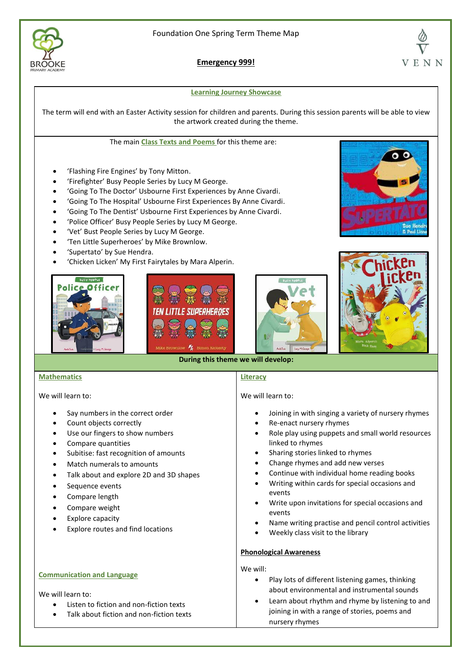

**Emergency 999!**

#### **Learning Journey Showcase**

The term will end with an Easter Activity session for children and parents. During this session parents will be able to view the artwork created during the theme.

#### The main **Class Texts and Poems** for this theme are:

- 'Flashing Fire Engines' by Tony Mitton.
- 'Firefighter' Busy People Series by Lucy M George.
- 'Going To The Doctor' Usbourne First Experiences by Anne Civardi.
- 'Going To The Hospital' Usbourne First Experiences By Anne Civardi.
- 'Going To The Dentist' Usbourne First Experiences by Anne Civardi.
- 'Police Officer' Busy People Series by Lucy M George.
- 'Vet' Bust People Series by Lucy M George.
- 'Ten Little Superheroes' by Mike Brownlow.
- 'Supertato' by Sue Hendra.
- 'Chicken Licken' My First Fairytales by Mara Alperin.











### **During this theme we will develop:**

### **Mathematics**

We will learn to:

- Say numbers in the correct order
- Count objects correctly
- Use our fingers to show numbers
- Compare quantities
- Subitise: fast recognition of amounts
- Match numerals to amounts
- Talk about and explore 2D and 3D shapes
- Sequence events
- Compare length
- Compare weight
- Explore capacity
- Explore routes and find locations

# **Communication and Language**

### We will learn to:

- Listen to fiction and non-fiction texts
- Talk about fiction and non-fiction texts

# **Literacy**

# We will learn to:

- Joining in with singing a variety of nursery rhymes
- Re-enact nursery rhymes
- Role play using puppets and small world resources linked to rhymes
- Sharing stories linked to rhymes
- Change rhymes and add new verses
- Continue with individual home reading books
- Writing within cards for special occasions and events
- Write upon invitations for special occasions and events
- Name writing practise and pencil control activities
- Weekly class visit to the library

### **Phonological Awareness**

### We will:

- Play lots of different listening games, thinking about environmental and instrumental sounds
- Learn about rhythm and rhyme by listening to and joining in with a range of stories, poems and nursery rhymes

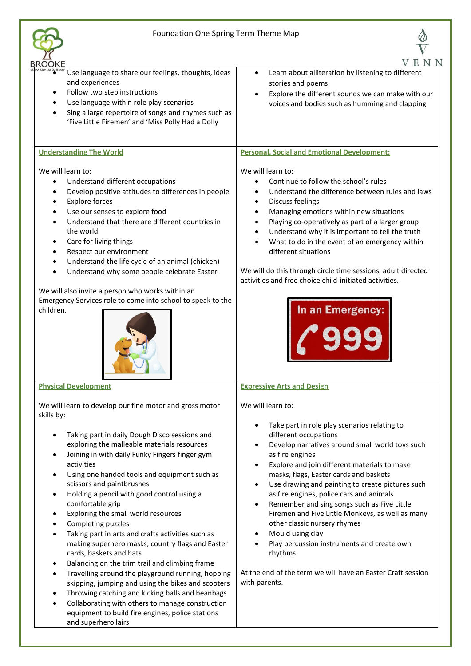



| 3ROOKE                                                                                                                                                                                                                                                                                                                                                                                                                                                                                                                                                                                                                                                                                                                                                                                                                                                                                                                                                                            |                                                                                                                                                                                                                                                                                                                                                                                                                                                                                                                                                                                                                                                                                      |
|-----------------------------------------------------------------------------------------------------------------------------------------------------------------------------------------------------------------------------------------------------------------------------------------------------------------------------------------------------------------------------------------------------------------------------------------------------------------------------------------------------------------------------------------------------------------------------------------------------------------------------------------------------------------------------------------------------------------------------------------------------------------------------------------------------------------------------------------------------------------------------------------------------------------------------------------------------------------------------------|--------------------------------------------------------------------------------------------------------------------------------------------------------------------------------------------------------------------------------------------------------------------------------------------------------------------------------------------------------------------------------------------------------------------------------------------------------------------------------------------------------------------------------------------------------------------------------------------------------------------------------------------------------------------------------------|
| Use language to share our feelings, thoughts, ideas<br>and experiences<br>Follow two step instructions<br>Use language within role play scenarios<br>Sing a large repertoire of songs and rhymes such as<br>'Five Little Firemen' and 'Miss Polly Had a Dolly                                                                                                                                                                                                                                                                                                                                                                                                                                                                                                                                                                                                                                                                                                                     | Learn about alliteration by listening to different<br>$\bullet$<br>stories and poems<br>Explore the different sounds we can make with our<br>$\bullet$<br>voices and bodies such as humming and clapping                                                                                                                                                                                                                                                                                                                                                                                                                                                                             |
| <b>Understanding The World</b>                                                                                                                                                                                                                                                                                                                                                                                                                                                                                                                                                                                                                                                                                                                                                                                                                                                                                                                                                    | <b>Personal, Social and Emotional Development:</b>                                                                                                                                                                                                                                                                                                                                                                                                                                                                                                                                                                                                                                   |
| We will learn to:<br>Understand different occupations<br>$\bullet$<br>Develop positive attitudes to differences in people<br><b>Explore forces</b><br>Use our senses to explore food<br>Understand that there are different countries in<br>the world<br>Care for living things<br>Respect our environment<br>Understand the life cycle of an animal (chicken)<br>Understand why some people celebrate Easter<br>We will also invite a person who works within an<br>Emergency Services role to come into school to speak to the<br>children.                                                                                                                                                                                                                                                                                                                                                                                                                                     | We will learn to:<br>Continue to follow the school's rules<br>$\bullet$<br>Understand the difference between rules and laws<br>Discuss feelings<br>$\bullet$<br>Managing emotions within new situations<br>Playing co-operatively as part of a larger group<br>Understand why it is important to tell the truth<br>What to do in the event of an emergency within<br>different situations<br>We will do this through circle time sessions, adult directed<br>activities and free choice child-initiated activities.<br>In an Emergency:                                                                                                                                              |
| <b>Physical Development</b>                                                                                                                                                                                                                                                                                                                                                                                                                                                                                                                                                                                                                                                                                                                                                                                                                                                                                                                                                       | <b>Expressive Arts and Design</b>                                                                                                                                                                                                                                                                                                                                                                                                                                                                                                                                                                                                                                                    |
| We will learn to develop our fine motor and gross motor<br>skills by:<br>Taking part in daily Dough Disco sessions and<br>exploring the malleable materials resources<br>Joining in with daily Funky Fingers finger gym<br>activities<br>Using one handed tools and equipment such as<br>scissors and paintbrushes<br>Holding a pencil with good control using a<br>comfortable grip<br>Exploring the small world resources<br>٠<br>Completing puzzles<br>Taking part in arts and crafts activities such as<br>$\bullet$<br>making superhero masks, country flags and Easter<br>cards, baskets and hats<br>Balancing on the trim trail and climbing frame<br>$\bullet$<br>Travelling around the playground running, hopping<br>skipping, jumping and using the bikes and scooters<br>Throwing catching and kicking balls and beanbags<br>$\bullet$<br>Collaborating with others to manage construction<br>equipment to build fire engines, police stations<br>and superhero lairs | We will learn to:<br>Take part in role play scenarios relating to<br>different occupations<br>Develop narratives around small world toys such<br>as fire engines<br>Explore and join different materials to make<br>masks, flags, Easter cards and baskets<br>Use drawing and painting to create pictures such<br>$\bullet$<br>as fire engines, police cars and animals<br>Remember and sing songs such as Five Little<br>$\bullet$<br>Firemen and Five Little Monkeys, as well as many<br>other classic nursery rhymes<br>Mould using clay<br>Play percussion instruments and create own<br>rhythms<br>At the end of the term we will have an Easter Craft session<br>with parents. |